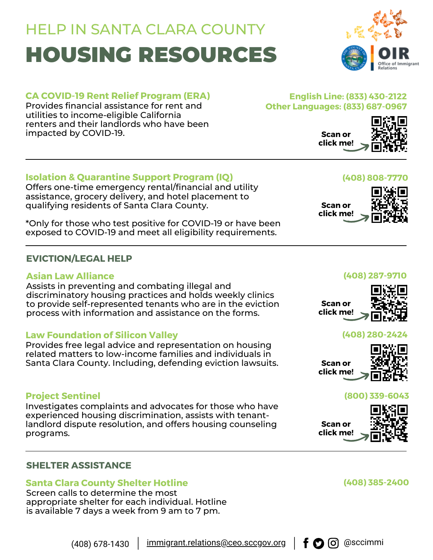# HOUSING RESOURCES HELP IN SANTA CLARA COUNTY



# **CA COVID-19 Rent Relief Program (ERA)**

Provides financial assistance for rent and utilities to income-eligible California renters and their landlords who have been impacted by COVID-19.

## **English Line: (833) 430-2122 Other Languages: (833) 687-0967**

**Scan or click me!**



# **Isolation & Quarantine Support Program (IQ)**

Offers one-time emergency rental/financial and utility assistance, grocery delivery, and hotel placement to qualifying residents of Santa Clara County.

\*Only for those who test positive for COVID-19 or have been exposed to COVID-19 and meet all eligibility requirements.

# **EVICTION/LEGAL HELP**

## **Asian Law Alliance**

Assists in preventing and combating illegal and discriminatory housing practices and holds weekly clinics to provide self-represented tenants who are in the eviction process with information and assistance on the forms.

# **Law Foundation of Silicon Valley**

Provides free legal advice and representation on housing related matters to low-income families and individuals in Santa Clara County. Including, defending eviction lawsuits.

### **Project Sentinel**

Investigates complaints and advocates for those who have experienced housing [discrimination,](https://www.housing.org/dispute-resolution) assists with tenantlandlord dispute resolution, and offers housing [counseling](https://www.housing.org/housing-counseling) programs.

### **SHELTER ASSISTANCE**

# **Santa Clara County Shelter Hotline**

Screen calls to determine the most appropriate shelter for each individual. Hotline is available 7 days a week from 9 am to 7 pm.

# **(408) 287-9710**





### **(408) 280-2424**

**Scan or click me!**



### **(800) 339-6043**

**Scan or click me!**



# **(408) 385-2400**

(408) 678-1430  $\parallel$  [immigrant.relations@ceo.sccgov.org](mailto:immigrant.relations@ceo.sccgov.org)  $\parallel \mathbf{f} \bigodot \text{ } \odot$  @sccimmi



# **(408) [808-7770](tel:408-808-7770)**

**Scan or click me!**